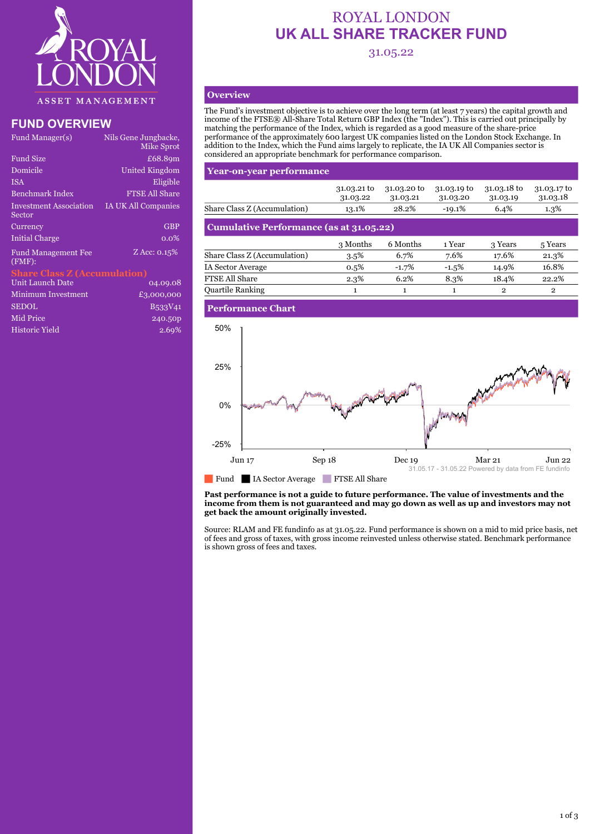

### **FUND OVERVIEW**

| Fund Manager(s)                         | Nils Gene Jungbacke,<br>Mike Sprot |
|-----------------------------------------|------------------------------------|
| <b>Fund Size</b>                        | £68.89m                            |
| Domicile                                | <b>United Kingdom</b>              |
| <b>ISA</b>                              | Eligible                           |
| <b>Benchmark Index</b>                  | <b>FTSE All Share</b>              |
| <b>Investment Association</b><br>Sector | <b>IA UK All Companies</b>         |
| Currency                                | <b>GBP</b>                         |
| <b>Initial Charge</b>                   | $0.0\%$                            |
| <b>Fund Management Fee</b><br>$(FMF)$ : | Z Acc: 0.15%                       |
|                                         |                                    |

## **Share Class Z (Accumulation)**

| Unit Launch Date   | 04.09.08   |
|--------------------|------------|
| Minimum Investment | £3,000,000 |
| <b>SEDOL</b>       | B533V41    |
| Mid Price          | 240.50p    |
| Historic Yield     | 2.69%      |

# ROYAL LONDON **UK ALL SHARE TRACKER FUND**

31.05.22

#### **Overview**

The Fund's investment objective is to achieve over the long term (at least 7 years) the capital growth and income of the FTSE® All-Share Total Return GBP Index (the "Index"). This is carried out principally by matching the performance of the Index, which is regarded as a good measure of the share-price performance of the approximately 600 largest UK companies listed on the London Stock Exchange. In addition to the Index, which the Fund aims largely to replicate, the IA UK All Companies sector is considered an appropriate benchmark for performance comparison.

#### **Year-on-year performance**

|                                         | 31.03.21 to<br>31.03.22 | 31.03.20 to<br>31.03.21 | 31.03.19 to<br>31.03.20 | 31.03.18 to<br>31.03.19 | 31.03.17 to<br>31.03.18 |
|-----------------------------------------|-------------------------|-------------------------|-------------------------|-------------------------|-------------------------|
| Share Class Z (Accumulation)            | 13.1%                   | 28.2%                   | $-19.1%$                | 6.4%                    | $1.3\%$                 |
| Cumulative Performance (as at 31.05.22) |                         |                         |                         |                         |                         |
|                                         | 3 Months                | 6 Months                | 1 Year                  | 3 Years                 | 5 Years                 |
| Share Class Z (Accumulation)            | $3.5\%$                 | 6.7%                    | 7.6%                    | 17.6%                   | 21.3%                   |
| IA Sector Average                       | $0.5\%$                 | $-1.7%$                 | $-1.5%$                 | 14.9%                   | 16.8%                   |
| <b>FTSE All Share</b>                   | 2.3%                    | 6.2%                    | 8.3%                    | 18.4%                   | 22.2%                   |
| Ouartile Ranking                        | 1                       | 1                       |                         | $\mathbf{2}$            | $\mathbf{2}$            |
|                                         |                         |                         |                         |                         |                         |

#### **Performance Chart**



#### **Past performance is not a guide to future performance. The value of investments and the income from them is not guaranteed and may go down as well as up and investors may not get back the amount originally invested.**

Source: RLAM and FE fundinfo as at 31.05.22. Fund performance is shown on a mid to mid price basis, net of fees and gross of taxes, with gross income reinvested unless otherwise stated. Benchmark performance is shown gross of fees and taxes.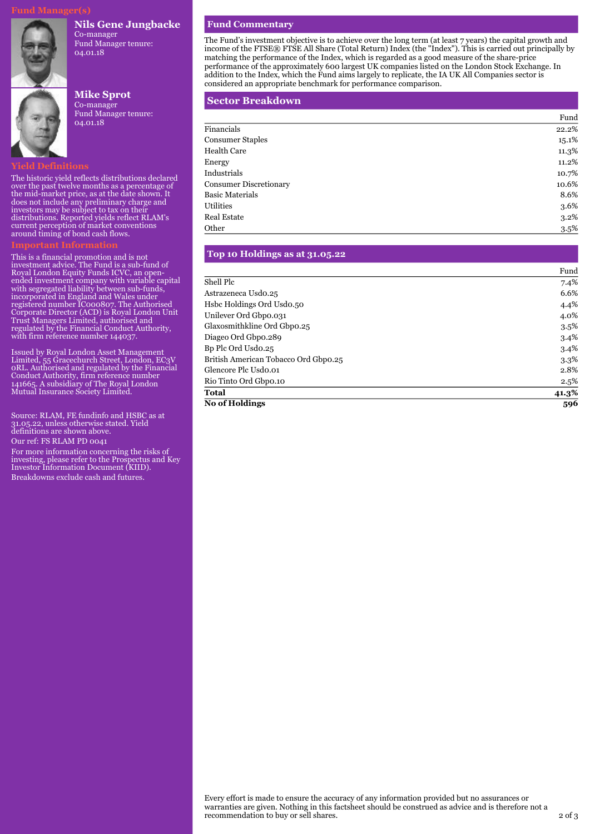#### **Nils Gene Jungbacke**



Co-manager Fund Manager tenure: 04.01.18

### **Mike Sprot** Co-manager Fund Manager tenure: 04.01.18

#### **Yield Definitions**

The historic yield reflects distributions declared over the past twelve months as a percentage of the mid-market price, as at the date shown. It does not include any preliminary charge and investors may be subject to tax on their distributions. Reported yields reflect RLAM's current perception of market conventions around timing of bond cash flows.

This is a financial promotion and is not investment advice. The Fund is a sub-fund of Royal London Equity Funds ICVC, an openended investment company with variable capital with segregated liability between sub-funds, incorporated in England and Wales under registered number IC000807. The Authorised Corporate Director (ACD) is Royal London Unit Trust Managers Limited, authorised and regulated by the Financial Conduct Authority, with firm reference number 144037.

Issued by Royal London Asset Management Limited, 55 Gracechurch Street, London, EC3V 0RL. Authorised and regulated by the Financial Conduct Authority, firm reference number 141665. A subsidiary of The Royal London Mutual Insurance Society Limited.

Source: RLAM, FE fundinfo and HSBC as at 31.05.22, unless otherwise stated. Yield definitions are shown above.

Our ref: FS RLAM PD 0041

For more information concerning the risks of investing, please refer to the Prospectus and Key Investor Information Document (KIID). Breakdowns exclude cash and futures.

#### **Fund Commentary**

The Fund's investment objective is to achieve over the long term (at least 7 years) the capital growth and income of the FTSE® FTSE All Share (Total Return) Index (the "Index"). This is carried out principally by matching the performance of the Index, which is regarded as a good measure of the share-price performance of the approximately 600 largest UK companies listed on the London Stock Exchange. In addition to the Index, which the Fund aims largely to replicate, the IA UK All Companies sector is considered an appropriate benchmark for performance comparison.

#### **Sector Breakdown**

|                               | Fund  |
|-------------------------------|-------|
| Financials                    | 22.2% |
| <b>Consumer Staples</b>       | 15.1% |
| Health Care                   | 11.3% |
| Energy                        | 11.2% |
| Industrials                   | 10.7% |
| <b>Consumer Discretionary</b> | 10.6% |
| <b>Basic Materials</b>        | 8.6%  |
| Utilities                     | 3.6%  |
| <b>Real Estate</b>            | 3.2%  |
| Other                         | 3.5%  |

#### **Top 10 Holdings as at 31.05.22**

|                                      | Fund    |
|--------------------------------------|---------|
| Shell Plc                            | 7.4%    |
| Astrazeneca Usdo.25                  | 6.6%    |
| Hsbc Holdings Ord Usdo.50            | 4.4%    |
| Unilever Ord Gbpo.031                | 4.0%    |
| Glaxosmithkline Ord Gbpo.25          | $3.5\%$ |
| Diageo Ord Gbpo.289                  | 3.4%    |
| Bp Plc Ord Usdo.25                   | 3.4%    |
| British American Tobacco Ord Gbpo.25 | $3.3\%$ |
| Glencore Plc Usdo.01                 | 2.8%    |
| Rio Tinto Ord Gbpo.10                | 2.5%    |
| <b>Total</b>                         | 41.3%   |
| <b>No of Holdings</b>                | 596     |